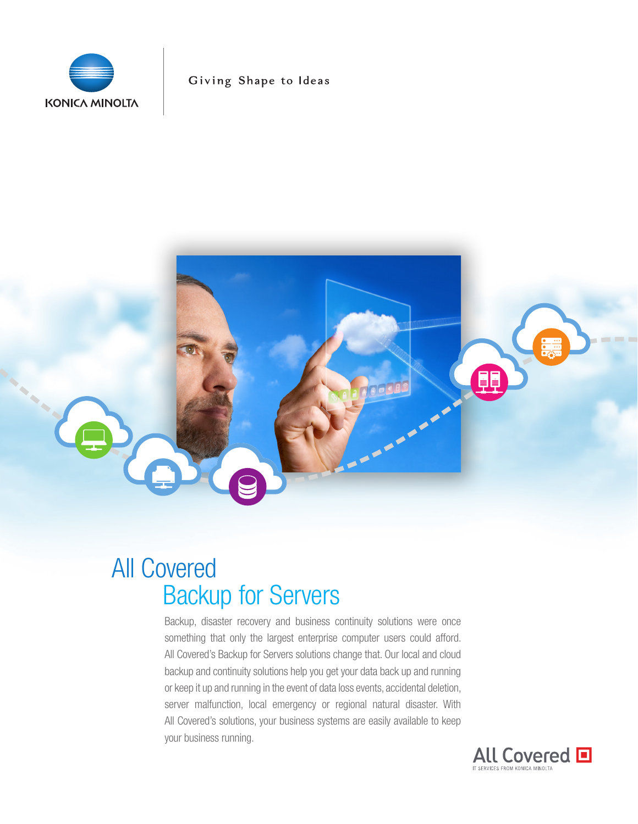

Giving Shape to Ideas

# $O = 10$

## All Covered Backup for Servers

Backup, disaster recovery and business continuity solutions were once something that only the largest enterprise computer users could afford. All Covered's Backup for Servers solutions change that. Our local and cloud backup and continuity solutions help you get your data back up and running or keep it up and running in the event of data loss events, accidental deletion, server malfunction, local emergency or regional natural disaster. With All Covered's solutions, your business systems are easily available to keep your business running.